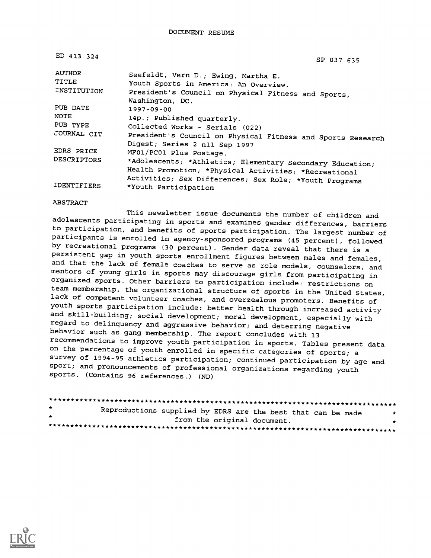| ED 413 324                                  | SP 037 635                                                                                                                                                                     |
|---------------------------------------------|--------------------------------------------------------------------------------------------------------------------------------------------------------------------------------|
| AUTHOR<br>TITLE<br>INSTITUTION              | Seefeldt, Vern D.; Ewing, Martha E.<br>Youth Sports in America: An Overview.<br>President's Council on Physical Fitness and Sports,<br>Washington, DC.                         |
| PUB DATE<br>NOTE<br>PUB TYPE<br>JOURNAL CIT | $1997 - 09 - 00$<br>14p.; Published quarterly.<br>Collected Works - Serials (022)<br>President's Council on Physical Fitness and Sports Research                               |
| EDRS PRICE<br>DESCRIPTORS                   | Digest; Series 2 n11 Sep 1997<br>MF01/PC01 Plus Postage.<br>*Adolescents; *Athletics; Elementary Secondary Education;<br>Health Promotion; *Physical Activities; *Recreational |
| <b>IDENTIFIERS</b>                          | Activities; Sex Differences; Sex Role; *Youth Programs<br>*Youth Participation                                                                                                 |

ABSTRACT

This newsletter issue documents the number of children and adolescents participating in sports and examines gender differences, barriers to participation, and benefits of sports participation. The largest number of participants is enrolled in agency-sponsored programs (45 percent), followed by recreational programs (30 percent). Gender data reveal that there is a<br>persistent gap in youth sports enrollment figures between males and females, and that the lack of female coaches to serve as role models, counselors, and mentors of young girls in sports may discourage girls from participating in team membership, the organizational structure of sports in the United States,<br>lack of competent volunteer coaches, and overzealous promoters. Benefits of youth sports participation include: better health through increased activity<br>and skill-building; social development; moral development, especially with regard to delinquency and aggressive behavior; and deterring negative behavior such as gang membership. The report concludes with 13 recommendations to improve youth participation in sports. Tables present data survey of 1994-95 athletics participation; continued participation by age and sport; and pronouncements of professional organizations regarding youth sports. (Contains 96 references.) (ND)

| Reproductions supplied by EDRS are the best that can be made |  |                             |  |  |
|--------------------------------------------------------------|--|-----------------------------|--|--|
|                                                              |  | from the original document. |  |  |

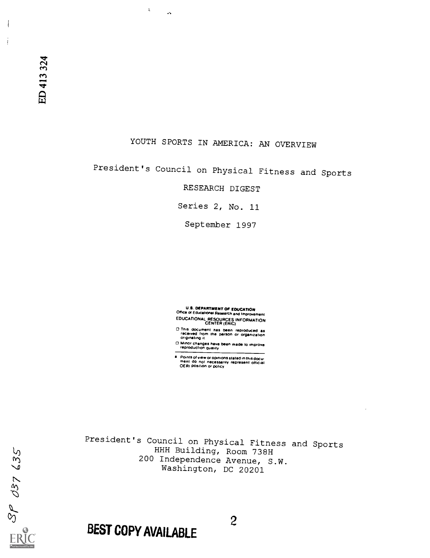$\mathbf{I}$ 

Ť

## YOUTH SPORTS IN AMERICA: AN OVERVIEW

 $\mathbf{L}^{\pm}$ 

 $\sim$ 

## President's Council on Physical Fitness and Sports

#### RESEARCH DIGEST

Series 2, No. 11

September 1997

U.S. DEPARTMENT OF EDUCATION Office of Educational Research and Improvement EDUCATIONAL RESOURCES INFORMATION CENTER (ERIC)

O This document has been reproduced as received from the person or organization originating it

O Minor changes have been made to improve reproduction Quality

Points of view or opinions stated in this docu-<br>ment ido inot inecessarily represent official<br>OERI Position or policy

President's Council on Physical Fitness and Sports HHH Building, Room 738H 200 Independence Avenue, S.W. Washington, DC 20201

 $\sim$  $\infty$  contracts the contract of  $\infty$ 

BEST COPY AVAILABLE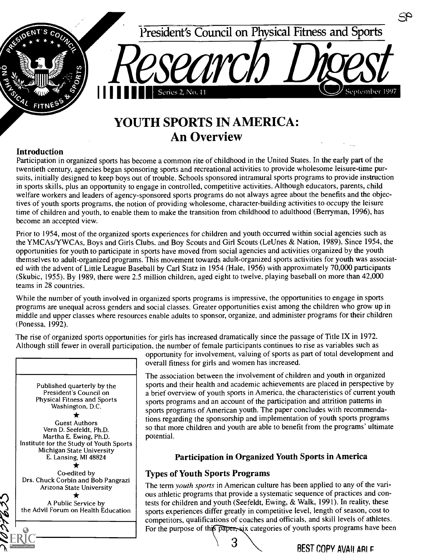

## An Overview

## Introduction

Participation in organized sports has become a common rite of childhood in the United States. In the early part of the twentieth century, agencies began sponsoring sports and recreational activities to provide wholesome leisure-time pursuits, initially designed to keep boys out of trouble. Schools sponsored intramural sports programs to provide instruction in sports skills, plus an opportunity to engage in controlled, competitive activities. Although educators, parents, child welfare workers and leaders of agency-sponsored sports programs do not always agree about the benefits and the objectives of youth sports programs, the notion of providing wholesome, character-building activities to occupy the leisure time of children and youth, to enable them to make the transition from childhood to adulthood (Berryman, 1996), has become an accepted view.

Prior to 1954, most of the organized sports experiences for children and youth occurred within social agencies such as the YMCAs/YWCAs, Boys and Girls Clubs, and Boy Scouts and Girl Scouts (LeUnes & Nation, 1989). Since 1954, the opportunities for youth to participate in sports have moved from social agencies and activities organized by the youth themselves to adult-organized programs. This movement towards adult-organized sports activities for youth was associated with the advent of Little League Baseball by Carl Statz in 1954 (Hale, 1956) with approximately 70,000 participants (Skubic, 1955). By 1989, there were 2.5 million children, aged eight to twelve, playing baseball on more than 42,000 teams in 28 countries.

While the number of youth involved in organized sports programs is impressive, the opportunities to engage in sports programs are unequal across genders and social classes. Greater opportunities exist among the children who grow up in middle and upper classes where resources enable adults to sponsor, organize, and administer programs for their children (Ponessa, 1992).

The rise of organized sports opportunities for girls has increased dramatically since the passage of Title IX in 1972. Although still fewer in overall participation. the number of female participants continues to rise as variables such as



opportunity for involvement, valuing of sports as part of total development and overall fitness for girls and women has increased.

The association between the involvement of children and youth in organized sports and their health and academic achievements are placed in perspective by a brief overview of youth sports in America, the characteristics of current youth sports programs and an account of the participation and attrition patterns in sports programs of American youth. The paper concludes with recommendations regarding the sponsorship and implementation of youth sports programs so that more children and youth are able to benefit from the programs' ultimate potential.

## Participation in Organized Youth Sports in America

## Types of Youth Sports Programs

The term *youth sports* in American culture has been applied to any of the various athletic programs that provide a systematic sequence of practices and contests for children and youth (Seefeldt, Ewing, & Walk, 1991). In reality, these sports experiences differ greatly in competitive level, length of season, cost to competitors, qualifications of coaches and officials, and skill levels of athletes. For the purpose of this paper, six categories of youth sports programs have been

## BEST COPY AVAILARLE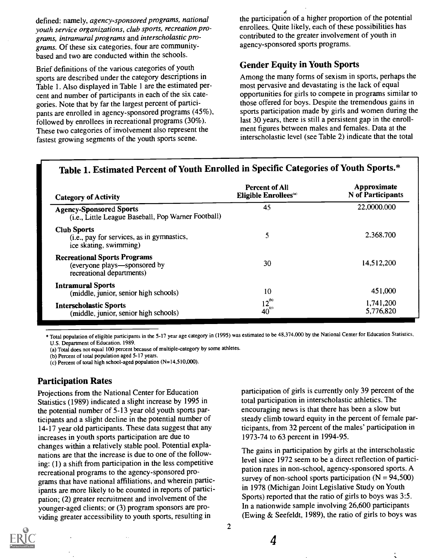defined: namely, agency-sponsored programs, national youth service organizations, club sports, recreation programs, intramural programs and interscholastic programs. Of these six categories, four are communitybased and two are conducted within the schools.

Brief definitions of the various categories of youth sports are described under the category descriptions in Table 1. Also displayed in Table 1 are the estimated percent and number of participants in each of the six categories. Note that by far the largest percent of participants are enrolled in agency-sponsored programs (45%), followed by enrollees in recreational programs (30%). These two categories of involvement also represent the fastest growing segments of the youth sports scene.

the participation of a higher proportion of the potential enrollees. Quite likely, each of these possibilities has contributed to the greater involvement of youth in agency-sponsored sports programs.

#### Gender Equity in Youth Sports

Among the many forms of sexism in sports, perhaps the most pervasive and devastating is the lack of equal opportunities for girls to compete in programs similar to those offered for boys. Despite the tremendous gains in sports participation made by girls and women during the last 30 years, there is still a persistent gap in the enrollment figures between males and females. Data at the interscholastic level (see Table 2) indicate that the total

| <b>Category of Activity</b>                                                                      | <b>Percent of All</b><br><b>Eligible Enrollees</b> <sup>(a)</sup> | Approximate<br>N of Participants |
|--------------------------------------------------------------------------------------------------|-------------------------------------------------------------------|----------------------------------|
| <b>Agency-Sponsored Sports</b><br>(i.e., Little League Baseball, Pop Warner Football)            | 45                                                                | 22,0000.000                      |
| <b>Club Sports</b><br>(i.e., pay for services, as in gymnastics,<br>ice skating, swimming)       | 5                                                                 | 2.368.700                        |
| <b>Recreational Sports Programs</b><br>(everyone plays—sponsored by<br>recreational departments) | 30                                                                | 14,512,200                       |
| <b>Intramural Sports</b><br>(middle, junior, senior high schools)                                | 10                                                                | 451,000                          |
| <b>Interscholastic Sports</b><br>(middle, junior, senior high schools)                           | $12^{(b)}$<br>$40^{\circ}$                                        | 1,741,200<br>5,776,820           |

## Table 1. Estimated Percent of Youth Enrolled in Specific Categories of Youth Sports.\*

\* Total population of eligible participants in the 5-17 year age category in (1995) was estimated to be 48,374,000 by the National Center for Education Statistics, U.S. Department of Education, 1989.

(a) Total does not equal 100 percent because of multiple-category by some athletes.

(b) Percent of total population aged 5-17 years.

(c) Percent of total high school-aged population (N=14,510,000).

## Participation Rates

Projections from the National Center for Education Statistics (1989) indicated a slight increase by 1995 in the potential number of 5-13 year old youth sports participants and a slight decline in the potential number of 14-17 year old participants. These data suggest that any increases in youth sports participation are due to changes within a relatively stable pool. Potential explanations are that the increase is due to one of the following: (1) a shift from participation in the less competitive recreational programs to the agency-sponsored programs that have national affiliations, and wherein participants are more likely to be counted in reports of participation; (2) greater recruitment and involvement of the younger-aged clients; or (3) program sponsors are providing greater accessibility to youth sports, resulting in

participation of girls is currently only 39 percent of the total participation in interscholastic athletics. The encouraging news is that there has been a slow but steady climb toward equity in the percent of female participants, from 32 percent of the males' participation in 1973-74 to 63 percent in 1994-95.

The gains in participation by girls at the interscholastic level since 1972 seem to be a direct reflection of participation rates in non-school, agency-sponsored sports. A survey of non-school sports participation  $(N = 94,500)$ in 1978 (Michigan Joint Legislative Study on Youth Sports) reported that the ratio of girls to boys was 3:5. In a nationwide sample involving 26,600 participants (Ewing & Seefeldt, 1989), the ratio of girls to boys was

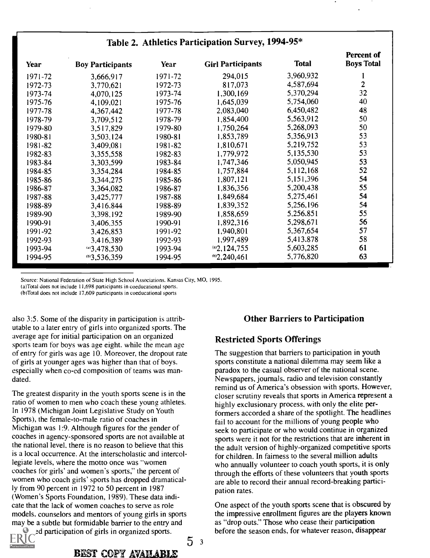|         | Table 2. Athletics Participation Survey, 1994-95* |         |                          |              |                                 |  |  |
|---------|---------------------------------------------------|---------|--------------------------|--------------|---------------------------------|--|--|
| Year    | <b>Boy Participants</b>                           | Year    | <b>Girl Participants</b> | <b>Total</b> | Percent of<br><b>Boys Total</b> |  |  |
| 1971-72 | 3,666,917                                         | 1971-72 | 294,015                  | 3,960,932    |                                 |  |  |
| 1972-73 | 3,770.621                                         | 1972-73 | 817,073                  | 4,587,694    | $\overline{2}$                  |  |  |
| 1973-74 | 4,070,125                                         | 1973-74 | 1,300,169                | 5,370,294    | 32                              |  |  |
| 1975-76 | 4,109,021                                         | 1975-76 | 1,645,039                | 5,754,060    | 40                              |  |  |
| 1977-78 | 4,367,442                                         | 1977-78 | 2,083,040                | 6,450,482    | 48                              |  |  |
| 1978-79 | 3,709,512                                         | 1978-79 | 1,854,400                | 5,563,912    | 50                              |  |  |
| 1979-80 | 3,517,829                                         | 1979-80 | 1,750,264                | 5,268,093    | 50                              |  |  |
| 1980-81 | 3,503,124                                         | 1980-81 | 1,853,789                | 5,356,913    | 53                              |  |  |
| 1981-82 | 3,409,081                                         | 1981-82 | 1,810,671                | 5,219,752    | 53                              |  |  |
| 1982-83 | 3,355,558                                         | 1982-83 | 1,779,972                | 5,135,530    | 53                              |  |  |
| 1983-84 | 3,303,599                                         | 1983-84 | 1,747,346                | 5,050,945    | 53                              |  |  |
| 1984-85 | 3,354,284                                         | 1984-85 | 1,757,884                | 5,112,168    | 52                              |  |  |
| 1985-86 | 3,344,275                                         | 1985-86 | 1,807,121                | 5,151,396    | 54                              |  |  |
| 1986-87 | 3,364,082                                         | 1986-87 | 1,836,356                | 5,200,438    | 55                              |  |  |
| 1987-88 | 3,425,777                                         | 1987-88 | 1,849,684                | 5,275,461    | 54                              |  |  |
| 1988-89 | 3,416.844                                         | 1988-89 | 1,839,352                | 5,256,196    | 54                              |  |  |
| 1989-90 | 3,398,192                                         | 1989-90 | 1,858,659                | 5,256,851    | 55                              |  |  |
| 1990-91 | 3,406,355                                         | 1990-91 | 1,892,316                | 5,298,671    | 56                              |  |  |
| 1991-92 | 3,426,853                                         | 1991-92 | 1,940,801                | 5,367,654    | 57                              |  |  |
| 1992-93 | 3,416,389                                         | 1992-93 | 1,997,489                | 5,413.878    | 58                              |  |  |
| 1993-94 | (a) 3,478,530                                     | 1993-94 | (a) $2,124,755$          | 5,603,285    | 61                              |  |  |
| 1994-95 | 693,536,359                                       | 1994-95 | $^{(b)}2,240,461$        | 5,776,820    | 63                              |  |  |

Source: National Federation of State High School Associations. Kansas City, MO, 1995.

(a)Total does not include 11,698 participants in coeducational sports. (b)Total does not include 17,609 participants in coeducational sports

also 3:5. Some of the disparity in participation is attributable to a later entry of girls into organized sports. The average age for initial participation on an organized sports team for boys was age eight. while the mean age of entry for girls was age 10. Moreover, the dropout rate of girls at younger ages was higher than that of boys. especially when co-ed composition of teams was mandated.

The greatest disparity in the youth sports scene is in the ratio of women to men who coach these young athletes. In 1978 (Michigan Joint Legislative Study on Youth Sports), the female-to-male ratio of coaches in Michigan was 1:9. Although figures for the gender of coaches in agency-sponsored sports are not available at the national level, there is no reason to believe that this is a local occurrence. At the interscholastic and intercollegiate levels, where the motto once was "women coaches for girls' and women's sports," the percent of women who coach girls' sports has dropped dramatically from 90 percent in 1972 to 50 percent in 1987 (Women's Sports Foundation, 1989). These data indicate that the lack of women coaches to serve as role models, counselors and mentors of young girls in sports may be a subtle but formidable barrier to the entry and ed participation of girls in organized sports.



## BEST COPY AVAILABLE

## Other Barriers to Participation

## Restricted Sports Offerings

The suggestion that barriers to participation in youth sports constitute a national dilemma may seem like a paradox to the casual observer of the national scene. Newspapers, journals, radio and television constantly remind us of America's obsession with sports. However, closer scrutiny reveals that sports in America represent a highly exclusionary process, with only the elite performers accorded a share of the spotlight. The headlines fail to account for the millions of young people who seek to participate or who would continue in organized sports were it not for the restrictions that are inherent in the adult version of highly organized competitive sports for children. In fairness to the several million adults who annually volunteer to coach youth sports, it is only through the efforts of these volunteers that youth sports are able to record their annual record-breaking participation rates.

One aspect of the youth sports scene that is obscured by the impressive enrollment figures are the players known as "drop outs." Those who cease their participation before the season ends, for whatever reason, disappear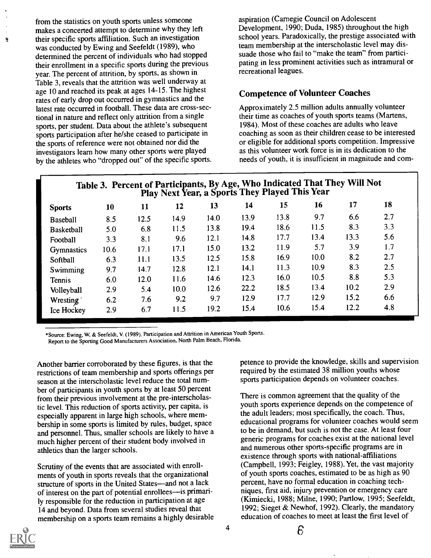from the statistics on youth sports unless someone makes a concerted attempt to determine why they left their specific sports affiliation. Such an investigation was conducted by Ewing and Seefeldt (1989), who determined the percent of individuals who had stopped their enrollment in a specific sports during the previous year. The percent of attrition, by sports, as shown in Table 3, reveals that the attrition was well underway at age 10 and reached its peak at ages 14-15. The highest rates of early drop out occurred in gymnastics and the latest rate occurred in football. These data are cross-sectional in nature and reflect only attrition from a single sports, per student. Data about the athlete's subsequent sports participation after he/she ceased to participate in the sports of reference were not obtained nor did the investigators learn how many other sports were played by the athletes who "dropped out" of the specific sports. aspiration (Carnegie Council on Adolescent Development, 1990; Duda, 1985) throughout the high school years. Paradoxically, the prestige associated with team membership at the interscholastic level may dissuade those who fail to "make the team" from participating in less prominent activities such as intramural or recreational leagues.

## Competence of Volunteer Coaches

Approximately 2.5 million adults annually volunteer their time as coaches of youth sports teams (Martens, 1984). Most of these coaches are adults who leave coaching as soon as their children' cease to be interested or eligible for additional sports competition. Impressive as this volunteer work force is in its dedication to the needs of youth, it is insufficient in magnitude and com-

| Table 3. Percent of Participants, By Age, Who Indicated That They Will Not<br>Play Next Year, a Sports They Played This Year |      |      |      |      |      |      |      |      |     |
|------------------------------------------------------------------------------------------------------------------------------|------|------|------|------|------|------|------|------|-----|
| <b>Sports</b>                                                                                                                | 10   | 11   | 12   | 13   | 14   | 15   | 16   | 17   | 18  |
| Baseball                                                                                                                     | 8.5  | 12.5 | 14.9 | 14.0 | 13.9 | 13.8 | 9.7  | 6.6  | 2.7 |
| <b>Basketball</b>                                                                                                            | 5.0  | 6.8  | 11.5 | 13.8 | 19.4 | 18.6 | 11.5 | 8.3  | 3.3 |
| Football                                                                                                                     | 3.3  | 8.1  | 9.6  | 12.1 | 14.8 | 17.7 | 13.4 | 13.3 | 5.6 |
| <b>Gymnastics</b>                                                                                                            | 10.6 | 17.1 | 17.1 | 15.0 | 13.2 | 11.9 | 5.7  | 3.9  | 1.7 |
| Softball                                                                                                                     | 6.3  | 11.1 | 13.5 | 12.5 | 15.8 | 16.9 | 10.0 | 8.2  | 2.7 |
| Swimming                                                                                                                     | 9.7  | 14.7 | 12.8 | 12.1 | 14.1 | 11.3 | 10.9 | 8.3  | 2.5 |
| Tennis                                                                                                                       | 6.0  | 12.0 | 11.6 | 14.6 | 12.3 | 16.0 | 10.5 | 8.8  | 5.3 |
| Volleyball                                                                                                                   | 2.9  | 5.4  | 10.0 | 12.6 | 22.2 | 18.5 | 13.4 | 10.2 | 2.9 |
| Wresting                                                                                                                     | 6.2  | 7.6  | 9.2  | 9.7  | 12.9 | 17.7 | 12.9 | 15.2 | 6.6 |
| Ice Hockey                                                                                                                   | 2.9  | 6.7  | 11.5 | 19.2 | 15.4 | 10.6 | 15.4 | 12.2 | 4.8 |

\*Source: Ewing, W. & Seefeldt, V. (1989). Participation and Attrition in American Youth Sports.

Report to the Sporting Good Manufacturers Association, North Palm Beach, Florida.

Another barrier corroborated by these figures, is that the restrictions of team membership and sports offerings per season at the interscholastic level reduce the total number of participants in youth sports by at least 50 percent from their previous involvement at the pre-interscholastic level. This reduction of sports activity, per capita, is especially apparent in large high schools, where membership in some sports is limited by rules, budget, space and personnel. Thus, smaller schools are likely to have a much higher percent of their student body involved in athletics than the larger schools.

Scrutiny of the events that are associated with enrollments of youth in sports reveals that the organizational structure of sports in the United States-and not a lack of interest on the part of potential enrollees-is primarily responsible for the reduction in participation at age 14 and beyond. Data from several studies reveal that membership on a sports team remains a highly desirable petence to provide the knowledge, skills and supervision required by the estimated 38 million youths whose sports participation depends on volunteer coaches.

There is common agreement that the quality of the youth sports experience depends on the competence of the adult leaders; most specifically, the coach. Thus, educational programs for volunteer coaches would seem to be in demand, but such is not the case. At least four generic programs for coaches exist at the national level and numerous other sports-specific programs are in existence through sports with national-affiliations (Campbell, 1993; Feigley, 1988). Yet, the vast majority of youth sports coaches, estimated to be as high as 90 percent, have no formal education in coaching techniques, first aid, injury prevention or emergency care (Kimiecki, 1988; Milne, 1990; Partlow, 1995; Seefeldt, 1992; Sieget & Newhof, 1992). Clearly, the mandatory education of coaches to meet at least the first level of



Ń,

4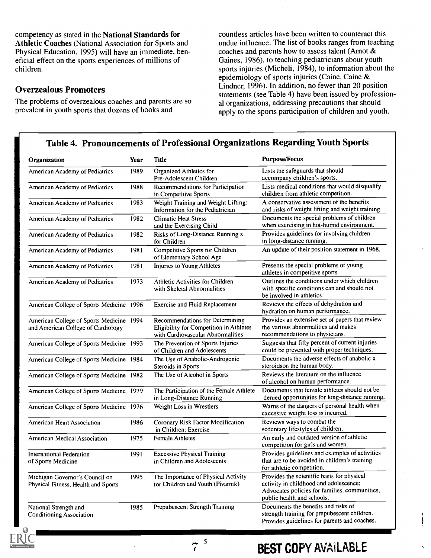competency as stated in the National Standards for Athletic Coaches (National Association for Sports and Physical Education, 1995) will have an immediate, beneficial effect on the sports experiences of millions of children.

## Overzealous Promoters

The problems of overzealous coaches and parents are so prevalent in youth sports that dozens of books and

countless articles have been written to counteract this undue influence. The list of books ranges from teaching coaches and parents how to assess talent (Arnot & Gaines, 1986), to teaching pediatricians about youth sports injuries (Micheli, 1984), to information about the epidemiology of sports injuries (Caine, Caine & Lindner, 1996). In addition, no fewer than 20 position statements (see Table 4) have been issued by professional organizations, addressing precautions that should apply to the sports participation of children and youth.

## Table 4. Pronouncements of Professional Organizations Regarding Youth Sports

| Organization                                                                   | Year | Title                                                                                                           | <b>Purpose/Focus</b>                                                                                                                                                |
|--------------------------------------------------------------------------------|------|-----------------------------------------------------------------------------------------------------------------|---------------------------------------------------------------------------------------------------------------------------------------------------------------------|
| American Academy of Pediatrics                                                 | 1989 | Organized Athletics for<br>Pre-Adolescent Children                                                              | Lists the safeguards that should<br>accompany children's sports.                                                                                                    |
| American Academy of Pediatrics                                                 | 1988 | Recommendations for Participation<br>in Competitive Sports                                                      | Lists medical conditions that would disqualify<br>children from athletic competition.                                                                               |
| American Academy of Pediatrics                                                 | 1983 | Weight Training and Weight Lifting:<br>Information for the Pediatrician                                         | A conservative assessment of the benefits<br>and risks of weight lifting and weight training                                                                        |
| American Academy of Pediatrics                                                 | 1982 | <b>Climatic Heat Stress</b><br>and the Exercising Child                                                         | Documents the special problems of children<br>when exercising in hot-humid environment.                                                                             |
| American Academy of Pediatrics                                                 | 1982 | Risks of Long-Distance Running x<br>for Children                                                                | Provides guidelines for involving children<br>in long-distance running.                                                                                             |
| American Academy of Pediatrics                                                 | 1981 | Competitive Sports for Children<br>of Elementary School Age                                                     | An update of their position statement in 1968.                                                                                                                      |
| American Academy of Pediatrics                                                 | 1981 | <b>Injuries to Young Athletes</b>                                                                               | Presents the special problems of young<br>athletes in competitive sports.                                                                                           |
| American Academy of Pediatrics                                                 | 1973 | Athletic Activities for Children<br>with Skeletal Abnormalities                                                 | Outlines the conditions under which children<br>with specific conditions can and should not<br>be involved in athletics.                                            |
| American College of Sports Medicine 1996                                       |      | <b>Exercise and Fluid Replacement</b>                                                                           | Reviews the effects of dehydration and<br>hydration on human performance.                                                                                           |
| American College of Sports Medicine 1994<br>and American College of Cardiology |      | Recommendations for Determining<br>Eligibility for Competition in Athletes<br>with Cardiovascular Abnormalities | Provides an extensive set of papers that review<br>the various abnormalities and makes<br>recommendations to physicians.                                            |
| American College of Sports Medicine 1993                                       |      | The Prevention of Sports Injuries<br>of Children and Adolescents                                                | Suggests that fifty percent of current injuries<br>could be prevented with proper techniques.                                                                       |
| American College of Sports Medicine 1984                                       |      | The Use of Anabolic-Androgenic<br>Steroids in Sports                                                            | Documents the adverse effects of anabolic x<br>steroidson the human body.                                                                                           |
| American College of Sports Medicine 1982                                       |      | The Use of Alcohol in Sports                                                                                    | Reviews the literature on the influence<br>of alcohol on human performance.                                                                                         |
| American College of Sports Medicine 1979                                       |      | The Participation of the Female Athlete<br>in Long-Distance Running                                             | Documents that female athletes should not be<br>denied opportunities for long-distance running.                                                                     |
| American College of Sports Medicine 1976                                       |      | Weight Loss in Wrestlers                                                                                        | Warns of the dangers of personal health when<br>excessive weight loss is incurred.                                                                                  |
| <b>American Heart Association</b>                                              | 1986 | Coronary Risk Factor Modification<br>in Children: Exercise                                                      | Reviews ways to combat the<br>sedentary lifestyles of children.                                                                                                     |
| <b>American Medical Association</b>                                            | 1975 | Female Athletes                                                                                                 | An early and outdated version of athletic<br>competition for girls and women.                                                                                       |
| <b>International Federation</b><br>of Sports Medicine                          | 1991 | <b>Excessive Physical Training</b><br>in Children and Adolescents                                               | Provides guidelines and examples of activities<br>that are to be avoided in children's training<br>for athletic competition.                                        |
| Michigan Governor's Council on<br>Physical Fitness, Health and Sports          | 1995 | The Importance of Physical Activity<br>for Children and Youth (Pivarnik)                                        | Provides the scientific basis for physical<br>activity in childhood and adolescence;<br>Advocates policies for families, communities,<br>public health and schools. |
| National Strength and<br><b>Conditioning Association</b>                       | 1985 | Prepubescent Strength Training                                                                                  | Documents the benefits and risks of<br>strength training for prepubescent children.<br>Provides guidelines for parents and coaches.                                 |

## BEST COPY AVAILABLE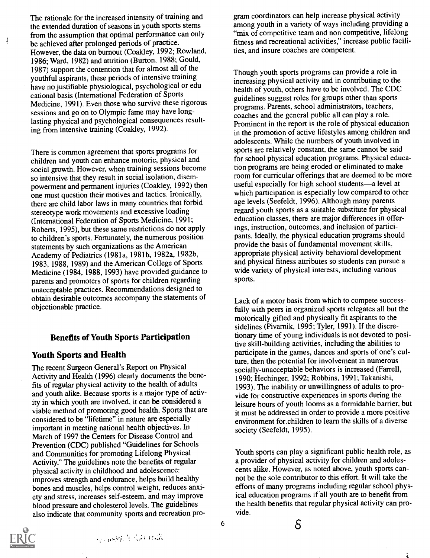The rationale for the increased intensity of training and the extended duration of seasons in youth sports stems from the assumption that optimal performance can only be achieved after prolonged periods of practice. However, the data on burnout (Coakley, 1992; Rowland, 1986; Ward, 1982) and attrition (Burton, 1988; Gould, 1987) support the contention that for almost all of the youthful aspirants, these periods of intensive training have no justifiable physiological, psychological or educational basis (International Federation of Sports Medicine, 1991). Even those who survive these rigorous sessions and go on to Olympic fame may have longlasting physical and psychological consequences resulting from intensive training (Coakley, 1992).

There is common agreement that sports programs for children and youth can enhance motoric, physical and social growth. However, when training sessions become so intensive that they result in social isolation, disempowerment and permanent injuries (Coakley, 1992) then one must question their motives and tactics. Ironically, there are child labor laws in many countries that forbid stereotype work movements and excessive loading (International Federation of Sports Medicine, 1991; Roberts, 1995), but these same restrictions do not apply to children's sports. Fortunately, the numerous position statements by such organizations as the American Academy of Pediatrics (1981a, 1981b, 1982a, 1982b, 1983, 1988, 1989) and the American College of Sports Medicine (1984, 1988, 1993) have provided guidance to parents and promoters of sports for children regarding unacceptable practices. Recommendations designed to obtain desirable outcomes accompany the statements of objectionable practice.

### Benefits of Youth Sports Participation

## Youth Sports and Health

The recent Surgeon General's Report on Physical Activity and Health (1996) clearly documents the benefits of regular physical activity to the health of adults and youth alike. Because sports is a major type of activity in which youth are involved, it can be considered a viable method of promoting good health. Sports that are considered to be "lifetime" in nature are especially important in meeting national health objectives. In March of 1997 the Centers for Disease Control and Prevention (CDC) published "Guidelines for Schools and Communities for promoting Lifelong Physical Activity." The guidelines note the benefits of regular physical activity in childhood and adolescence: improves strength and endurance, helps build healthy bones and muscles, helps control weight, reduces anxiety and stress, increases self-esteem, and may improve blood pressure and cholesterol levels. The guidelines also indicate that community sports and recreation pro-

gram coordinators can help increase physical activity among youth in a variety of ways including providing a "mix of competitive team and non competitive, lifelong fitness and recreational activities," increase public facilities, and insure coaches are competent.

Though youth sports programs can provide a role in increasing physical activity and in contributing to the health of youth, others have to be involved. The CDC guidelines suggest roles for groups other than sports programs. Parents, school administrators, teachers, coaches and the general public all can play a role. Prominent in the report is the role of physical education in the promotion of active lifestyles among children and adolescents. While the numbers of youth involved in sports are relatively constant, the same cannot be said for school physical education programs. Physical education programs are being eroded or eliminated to make room for curricular offerings that are deemed to be more useful especially for high school students—a level at which participation is especially low compared to other age levels (Seefeldt, 1996). Although many parents regard youth sports as a suitable substitute for physical education classes, there are major differences in offerings, instruction, outcomes, and inclusion of participants. Ideally, the physical education programs should provide the basis of fundamental movement skills, appropriate physical activity behavioral development and physical fitness attributes so students can pursue a wide variety of physical interests, including various sports.

Lack of a motor basis from which to compete successfully with peers in organized sports relegates all but the motorically gifted and physically fit aspirants to the sidelines (Pivarnik, 1995; Tyler, 1991). If the discretionary time of young individuals is not devoted to positive skill-building activities, including the abilities to participate in the games, dances and sports of one's culture, then the potential for involvement in numerous socially-unacceptable behaviors is increased (Farrell, 1990; Hechinger, 1992; Robbins, 1991; Takanishi, 1993). The inability or unwillingness of adults to provide for constructive experiences in sports during the leisure hours of youth looms as a formidable barrier, but it must be addressed in order to provide a more positive environment for.children to learn the skills of a diverse society (Seefeldt, 1995).

Youth sports can play a significant public health role, as a provider of physical activity for children and adolescents alike. However, as noted above, youth sports cannot be the sole contributor to this effort. It will take the efforts of many programs including regular school physical education programs if all youth are to benefit from the health benefits that regular physical activity can provide.



Ą

6

 $\mathcal{S}_{0}$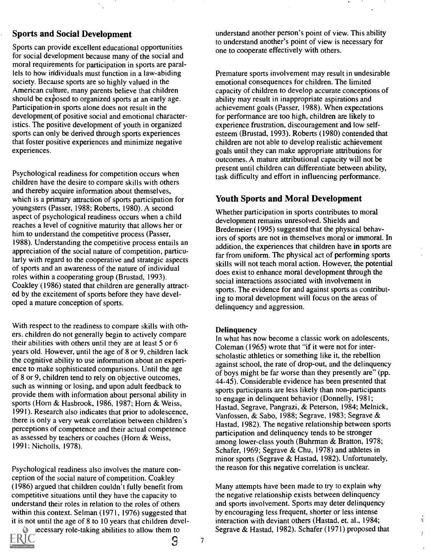## Sports and Social Development

Sports can provide excellent educational opportunities for social development because many of the social and moral requirements for participation in sports are parallels to how individuals must function in a law-abiding society. Because sports are so highly valued in the American culture, many parents believe that children should be exposed to organized sports at an early age. Participation in sports alone does not result in the development, of positive social and emotional characteristics. The positive development of youth in organized sports can only be derived through sports experiences that foster positive experiences and minimize negative experiences.

Psychological readiness for competition occurs when children have the desire to compare skills with others and thereby acquire information about themselves, which is a primary attraction of sports participation for youngsters (Passer, 1988; Roberts, 1980). A second aspect of psychological readiness occurs when a child reaches a level of cognitive maturity that allows her or him to understand the competitive process (Passer, 1988). Understanding the competitive process entails an appreciation of the social nature of competition, particularly with regard to the cooperative and strategic aspects of sports and an awareness of the nature of individual roles within a cooperating group (Brustad, 1993). Coakley (1986) stated that children are generally attracted by the excitement of sports before they have developed a mature conception of sports.

With respect to the readiness to compare skills with others, children do not generally begin to actively compare their abilities with others until they are at least 5 or 6 years old. However, until the age of 8 or 9, children lack the cognitive ability to use information about an experience to make sophisticated comparisons. Until the age of 8 or 9, children tend to rely on objective outcomes, such as winning or losing, and upon adult feedback to provide them with information about personal ability in sports (Horn & Hasbrook, 1986, 1987; Horn & Weiss, 1991). Research also indicates that prior to adolescence, there is only a very weak correlation between children's perceptions of competence and their actual competence as assessed by teachers or coaches (Horn & Weiss, 1991: Nicholls, 1978).

Psychological readiness also involves the mature conception of the social nature of competition. Coakley (1986) argued that children couldn't fully benefit from competitive situations until they have the capacity to understand their roles in relation to the roles of others within this context. Selman (1971, 1976) suggested that it is not until the age of 8 to 10 years that children devel-

 $\bullet$  iecessary role-taking abilities to allow them to



understand another person's point of view. This ability to understand another's point of view is necessary for one to cooperate effectively with others.

Premature sports involvement may result in undesirable emotional consequences for children. The limited capacity of children to develop accurate conceptions of ability may result in inappropriate aspirations and achievement goals (Passer, 1988). When expectations for performance are too high, children are likely to experience frustration, discouragement and low selfesteem (Brustad, 1993). Roberts (1980) contended that children are not able to develop realistic achievement goals until they can make appropriate attributions for outcomes. A mature attributional capacity will not be present until children can differentiate between ability, task difficulty and effort in influencing performance.

## Youth Sports and Moral Development

Whether participation in sports contributes to moral development remains unresolved. Shields and Bredemeier (1995) suggested that the physical behaviors of sports are not in themselves moral or immoral. In addition, the experiences that children have in sports are far from uniform. The physical act of performing sports skills will not teach moral action. However, the potential does exist to enhance moral development through the social interactions associated with involvement in sports. The evidence for and against sports. as contributing to moral development will focus on the areas of delinquency and aggression.

### **Delinquency**

In what has now become a classic work on adolescents, Coleman (1965) wrote that "if it were not for interscholastic athletics or something like it, the rebellion against school, the rate of drop-out, and the delinquency of boys might be far worse than they presently are" (pp. 44-45). Considerable evidence has been presented that sports participants are less likely than non-participants to engage in delinquent behavior (Donnelly, 1981; Hastad, Segrave, Pangrazi, & Peterson, 1984; Melnick, Vanfossen, & Sabo, 1988; Segrave, 1983; Segrave & Hastad, 1982). The negative relationship between sports participation and delinquency tends to be stronger among lower-class youth (Buhrman & Bratton, 1978; Schafer, 1969; Segrave & Chu, 1978) and athletes in minor sports (Segrave & Hastad, 1982). Unfortunately, the reason for this negative correlation is unclear.

Many attempts have been made to try to explain why the negative relationship exists between delinquency and sports involvement. Sports may deter delinquency by encouraging less frequent, shorter or less intense interaction with deviant others (Hastad, et. al., 1984; Segrave & Hastad, 1982). Schafer (1971) proposed that

Å.  $\pm$ 

G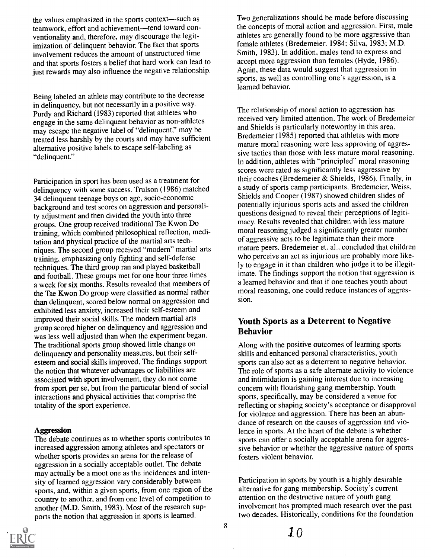the values emphasized in the sports context-such as teamwork, effort and achievement-tend toward conventionality and, therefore, may discourage the legitimization of delinquent behavior. The fact that sports involvement reduces the amount of unstructured time and that sports fosters a belief that hard work can lead to just rewards may also influence the negative relationship.

Being labeled an athlete may contribute to the decrease in delinquency, but not necessarily in a positive way. Purdy and Richard (1983) reported that athletes who engage in the same delinquent behavior as non-athletes may escape the negative label of "delinquent," may be treated less harshly by the courts and may have sufficient alternative positive labels to escape self-labeling as "delinquent."

Participation in sport has been used as a treatment for delinquency with some success. Trulson (1986) matched 34 delinquent teenage boys on age, socio-economic background and test scores on aggression and personality adjustment and then divided the youth into three groups. One group received traditional Tae Kwon Do training, which combined philosophical reflection, meditation and physical practice of the martial arts techniques. The second group received "modern" martial arts training, emphasizing only fighting and self-defense techniques. The third group ran and played basketball and football. These groups met for one hour three times a week for six months. Results revealed that members of the Tae Kwon Do group were classified as normal rather than delinquent, scored below normal on aggression and exhibited less anxiety, increased their self-esteem and improved their social skills. The modern martial arts group scored higher on delinquency and aggression and was less well adjusted than when the experiment began. The traditional sports group showed little change on delinquency and personality measures, but their selfesteem and social skills improved. The findings support the notion that whatever advantages or liabilities are associated with sport involvement, they do not come from sport per se, but from the particular blend of social interactions and physical activities that comprise the totality of the sport experience.

#### Aggression

The debate continues as to whether sports contributes to increased aggression among athletes and spectators or whether sports provides an arena for the release of aggression in a socially acceptable outlet. The debate may actually be a moot one as the incidences and intensity of learned aggression vary considerably between sports, and, within a given sports, from one region of the country to another, and from one level of competition to another (M.D. Smith, 1983). Most of the research supports the notion that aggression in sports is learned.

Two generalizations should be made before discussing the concepts of moral action and aggression. First, male athletes are generally found to be more aggressive than female athletes (Bredemeier, 1984; Silva, 1983; M.D. Smith, 1983). In addition, males tend to express and accept more aggression than females (Hyde, 1986). Again, these data would suggest that aggression in sports, as well as controlling one's aggression, is a learned behavior.

The relationship of moral action to aggression has received very limited attention. The work of Bredemeier and Shields is particularly noteworthy in this area. Bredemeier (1985) reported that athletes with more mature moral reasoning were less approving of aggressive tactics than those with less mature moral reasoning. In addition, athletes with "principled" moral reasoning scores were rated as significantly less aggressive by their coaches (Bredemeier & Shields, 1986). Finally, in a study of sports camp participants, Bredemeier, Weiss, Shields and Cooper (1987) showed children slides of potentially injurious sports acts and asked the children questions designed to reveal their perceptions of legitimacy. Results revealed that children with less mature moral reasoning judged a significantly greater number of aggressive acts to be legitimate than their more mature peers. Bredemeier et. al., concluded that children who perceive an act as injurious are probably more likely to engage in it than children who judge it to be illegitimate. The findings support the notion that aggression is a learned behavior and that if one teaches youth about moral reasoning, one could reduce instances of aggression.

## Youth Sports as a Deterrent to Negative Behavior

Along with the positive outcomes of learning sports skills and enhanced personal characteristics, youth sports can also act as a deterrent to negative behavior. The role of sports as a safe alternate activity to violence and intimidation is gaining interest due to increasing concern with flourishing gang membership. Youth sports, specifically, may be considered a venue for reflecting or shaping society's acceptance or disapproval for violence and aggression. There has been an abundance of research on the causes of aggression and violence in sports. At the heart of the debate is whether sports can offer a socially acceptable arena for aggressive behavior or whether the aggressive nature of sports fosters violent behavior.

Participation in sports by youth is a highly desirable alternative for gang membership. Society's current attention on the destructive nature of youth gang involvement has prompted much research over the past two decades. Historically, conditions for the foundation

8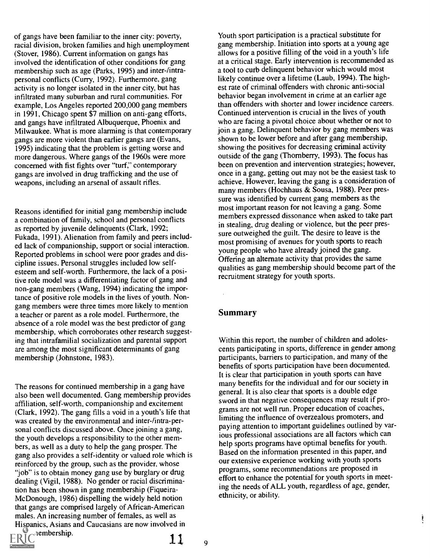of gangs have been familiar to the inner city: poverty, racial division, broken families and high unemployment (Stover, 1986). Current information on gangs has involved the identification of other conditions for gang membership such as age (Parks, 1995) and inter-/intrapersonal conflicts (Curry, 1992). Furthermore, gang activity is no longer isolated in the inner city, but has infiltrated many suburban and rural communities. For example, Los Angeles reported 200,000 gang members in 1991, Chicago spent \$7 million on anti-gang efforts, and gangs have infiltrated Albuquerque, Phoenix and Milwaukee. What is more alarming is that contemporary gangs are more violent than earlier gangs are (Evans, 1995) indicating that the problem is getting worse and more dangerous. Where gangs of the 1960s were more concerned with fist fights over "turf," contemporary gangs are involved in drug trafficking and the use of weapons, including an arsenal of assault rifles.

Reasons identified for initial gang membership include a combination of family, school and personal conflicts as reported by juvenile delinquents (Clark, 1992; Fukada, 1991). Alienation from family and peers included lack of companionship, support or social interaction. Reported problems in school were poor grades and discipline issues. Personal struggles included low selfesteem and self-worth. Furthermore, the lack of a positive role model was a differentiating factor of gang and non-gang members (Wang, 1994) indicating the importance of positive role models in the lives of youth. Nongang members were three times more likely to mention a teacher or parent as a role model. Furthermore, the absence of a role model was the best predictor of gang membership, which corroborates other research suggesting that intrafamilial socialization and parental support are among the most significant determinants of gang membership (Johnstone, 1983).

The reasons for continued membership in a gang have also been well documented. Gang membership provides affiliation, self-worth, companionship and excitement (Clark, 1992). The gang fills a void in a youth's life that was created by the environmental and inter-/intra-personal conflicts discussed above. Once joining a gang, the youth develops a responsibility to the other members, as well as a duty to help the gang prosper. The gang also provides a self-identity or valued role which is reinforced by the group, such as the provider, whose "job" is to obtain money gang use by burglary or drug dealing (Vigil, 1988). No gender or racial discrimination has been shown in gang membership (Fiqueira-McDonough, 1986) dispelling the widely held notion that gangs are comprised largely of African-American males. An increasing number of females, as well as Hispanics, Asians and Caucasians are now involved in

Youth sport participation is a practical substitute for gang membership. Initiation into sports at a young age allows for a positive filling of the void in a youth's life at a critical stage. Early intervention is recommended as a tool to curb delinquent behavior which would most likely continue over a lifetime (Laub, 1994). The highest rate of criminal offenders with chronic anti-social behavior began involvement in crime at an earlier age than offenders with shorter and lower incidence careers. Continued intervention is crucial in the lives of youth who are facing a pivotal choice about whether or not to join a gang. Delinquent behavior by gang members was shown to be lower before and after gang membership, showing the positives for decreasing criminal activity outside of the gang (Thornberry, 1993). The focus has been on prevention and intervention strategies; however, once in a gang, getting out may not be the easiest task to achieve. However, leaving the gang is a consideration of many members (Hochhaus & Sousa, 1988). Peer pressure was identified by current gang members as the most important reason for not leaving a gang. Some members expressed dissonance when asked to take part in stealing, drug dealing or violence, but the peer pressure outweighed the guilt. The desire to leave is the most promising of avenues for youth sports to reach young people who have already joined the gang. Offering an alternate activity that provides the same qualities as gang membership should become part of the recruitment strategy for youth sports.

#### Summary

Within this report, the number of children and adolescents participating in sports, difference in gender among participants, barriers to participation, and many of the benefits of sports participation have been documented. It is clear that participation in youth sports can have many benefits for the individual and for our society in general. It is also clear that sports is a double edge sword in that negative consequences may result if programs are not well run. Proper education of coaches, limiting the influence of overzealous promoters, and paying attention to important guidelines outlined by various professional associations are all factors which can help sports programs have optimal benefits for youth. Based on the information presented in this paper, and our extensive experience working with youth sports programs, some recommendations are proposed in effort to enhance the potential' for youth sports in meeting the needs of ALL youth, regardless of age, gender, ethnicity, or ability.

į

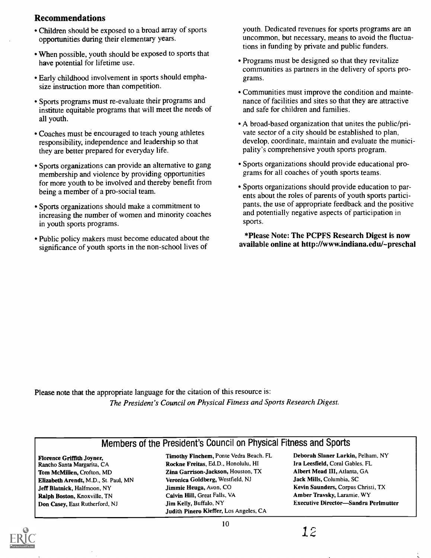## Recommendations

- Children should be exposed to a broad array of sports opportunities during their elementary years.
- When possible, youth should be exposed to sports that have potential for lifetime use.
- Early childhood involvement in sports should emphasize instruction more than competition.
- Sports programs must re-evaluate their programs and institute equitable programs that will meet the needs of all youth.
- Coaches must be encouraged to teach young athletes responsibility, independence and leadership so that they are better prepared for everyday life.
- Sports organizations can provide an alternative to gang membership and violence by providing opportunities for more youth to be involved and thereby benefit from being a member of a pro-social team.
- Sports organizations should make a commitment to increasing the number of women and minority coaches in youth sports programs.
- Public policy makers must become educated about the significance of youth sports in the non-school lives of

youth. Dedicated revenues for sports programs are an uncommon, but necessary, means to avoid the fluctuations in funding by private and public funders.

- Programs must be designed so that they revitalize communities as partners in the delivery of sports programs.
- Communities must improve the condition and maintenance of facilities and sites so that they are attractive and safe for children and families.
- A broad-based organization that unites the public/private sector of a city should be established to plan, develop, coordinate, maintain and evaluate the municipality's comprehensive youth sports program.
- Sports organizations should provide educational programs for all coaches of youth sports teams.
- Sports organizations should provide education to parents about the roles of parents of youth sports participants, the use of appropriate feedback and the positive and potentially negative aspects of participation in sports.

\*Please Note: The PCPFS Research Digest is now available online at http://www.indiana.edu/~preschal

Please note that the appropriate language for the citation of this resource is: The President's Council on Physical Fitness and Sports Research Digest.

## Members of the President's Council on Physical Fitness and Sports

Florence Griffith Joyner, Rancho Santa Margarita, CA Tom McMillen, Crofton, MD Elizabeth Arendt, M.D., St. Paul, MN Jeff Blatnick, Halfmoon, NY Ralph Boston, Knoxville, TN Don Casey, East Rutherford, NJ

Timothy Finchem, Ponte Vedra Beach, FL Rockne Freitas, Ed.D., Honolulu, HI Zina Garrison-Jackson, Houston, TX Veronica Goldberg, Westfield, NJ Jimmie Heuga, Avon, CO Calvin Hill, Great Falls, VA Jim Kelly, Buffalo, NY Judith Pinero Kieffer, Los Angeles, CA

10

Deborah Slaner Larkin, Pelham, NY Ira Leesfield, Coral Gables, FL Albert Mead III, Atlanta, GA Jack Mills, Columbia, SC Kevin Saunders, Corpus Christi, TX Amber Traysky, Laramie, WY Executive Director-Sandra Perlmutter

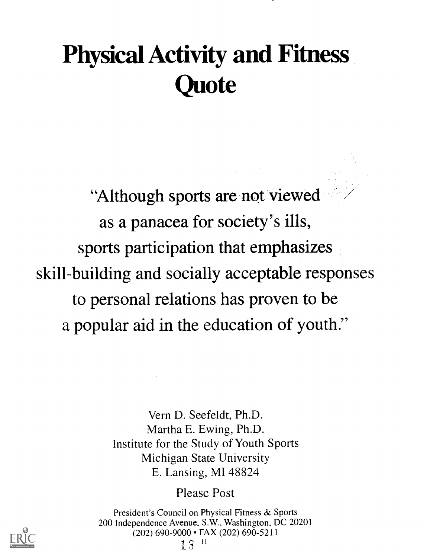# Physical Activity and Fitness **Quote**

"Although sports are not viewed as a panacea for society's ills, sports participation that emphasizes skill-building and socially acceptable responses to personal relations has proven to be a popular aid in the education of youth."

> Vern D. Seefeldt, Ph.D. Martha E. Ewing, Ph.D. Institute for the Study of Youth Sports Michigan State University E. Lansing, MI 48824

> > Please Post

President's Council on Physical Fitness & Sports 200 Independence Avenue, S.W., Washington, DC 20201 (202) 690-9000 FAX (202) 690-5211  $13^{-11}$